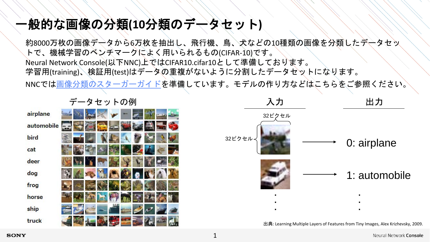## 一般的な画像の分類**(10**分類のデータセット**)**

約8000万枚の画像データから6万枚を抽出し、飛行機、鳥、犬などの10種類の画像を分類したデータセッ トで、機械学習のベンチマークによく用いられるもの(CIFAR-10)です。 Neural Network Console(以下NNC)上ではCIFAR10.cifar10として準備しております。 学習用(training)、検証用(test)はデータの重複がないように分割したデータセットになります。 NNCでは[画像分類のスターガーガイドを](https://support.dl.sony.com/wp-content/uploads/sites/2/2020/01/17052647/starter_guide_Image_classification.pdf)準備しています。モデルの作り方などはこちらをご参照ください。

|            | ◂             | ╭ | ш | $\sim$ $\sim$ 17 J |  |  |
|------------|---------------|---|---|--------------------|--|--|
| airplane   | <b>SILLER</b> |   |   |                    |  |  |
| automobile |               |   |   |                    |  |  |
| bird       |               |   |   |                    |  |  |
| cat        |               |   |   |                    |  |  |
| deer       |               |   |   |                    |  |  |
| dog        |               |   |   |                    |  |  |
| frog       |               |   |   |                    |  |  |
| horse      |               |   |   |                    |  |  |
| ship       |               |   | ш |                    |  |  |
| truck      |               |   |   |                    |  |  |

データセットの例



出典: Learning Multiple Layers of Features from Tiny Images, Alex Krizhevsky, 2009.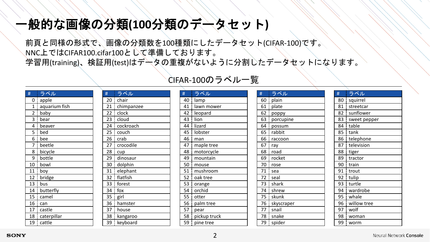## 一般的な画像の分類**(100**分類のデータセット**)**

# ラベル chair

 clock cloud 24 i cockroach couch crab 27 i crocodile cup 29 dinosaur  $30 \frac{1}{3}$  dolphin 31 elephant flatfish forest  $34 \frac{1}{2}$  fox  $35 \div \text{girl}$  hamster house 38 kangaroo 39 keyboard

21 chimpanzee

前頁と同様の形式で、画像の分類数を100種類にしたデータセット(CIFAR-100)です。 NNC上ではCIFAR100.cifar100として準備しております。 学習用(training)、検証用(test)はデータの重複がないように分割したデータセットになります。

| #                       | ラベル           |
|-------------------------|---------------|
| 0                       | apple         |
| 1                       | aquarium fish |
| $\overline{\mathbf{c}}$ | baby          |
| 3                       | bear          |
| 4                       | beaver        |
| 5<br>ļ                  | bed           |
| 6                       | bee           |
| 7                       | beetle        |
| 8                       | bicycle       |
| 9                       | bottle        |
| 10                      | bowl          |
| 11                      | boy           |
| 12                      | bridge        |
| 13                      | bus           |
| 14                      | butterfly     |
| 15                      | camel         |
| 16                      | can           |
| 17                      | castle        |
| 18                      | caterpillar   |
| 19                      | cattle        |

| CIFAR-100のラベル一覧 |  |  |
|-----------------|--|--|
|-----------------|--|--|

| #  | ラベル          |
|----|--------------|
| 40 | lamp         |
| 41 | lawn mower   |
| 42 | leopard      |
| 43 | lion         |
| 44 | lizard       |
| 45 | lobster      |
| 46 | man          |
| 47 | maple tree   |
| 48 | motorcycle   |
| 49 | mountain     |
| 50 | mouse        |
| 51 | mushroom     |
| 52 | oak tree     |
| 53 | orange       |
| 54 | orchid       |
| 55 | otter        |
| 56 | palm tree    |
| 57 | pear         |
| 58 | pickup truck |
| 59 | pine tree    |

| #  | ラベル        |  |
|----|------------|--|
| 60 | plain      |  |
| 61 | plate      |  |
| 62 | poppy      |  |
| 63 | porcupine  |  |
| 64 | possum     |  |
| 65 | rabbit     |  |
| 66 | raccoon    |  |
| 67 | ray        |  |
| 68 | road       |  |
| 69 | rocket     |  |
| 70 | rose       |  |
| 71 | sea        |  |
| 72 | seal       |  |
| 73 | shark      |  |
| 74 | shrew      |  |
| 75 | skunk      |  |
| 76 | skyscraper |  |
| 77 | snail      |  |
| 78 | snake      |  |
| 79 | spider     |  |
|    |            |  |

| #  | ラベル          |
|----|--------------|
| 80 | squirrel     |
| 81 | streetcar    |
| 82 | sunflower    |
| 83 | sweet pepper |
| 84 | table        |
| 85 | tank         |
| 86 | telephone    |
| 87 | television   |
| 88 | tiger        |
| 89 | tractor      |
| 90 | train<br>ŗ   |
| 91 | trout        |
| 92 | tulip        |
| 93 | ļ<br>turtle  |
| 94 | wardrobe     |
| 95 | whale        |
| 96 | willow tree  |
| 97 | wolf         |
| 98 | woman        |
| 99 | worm         |